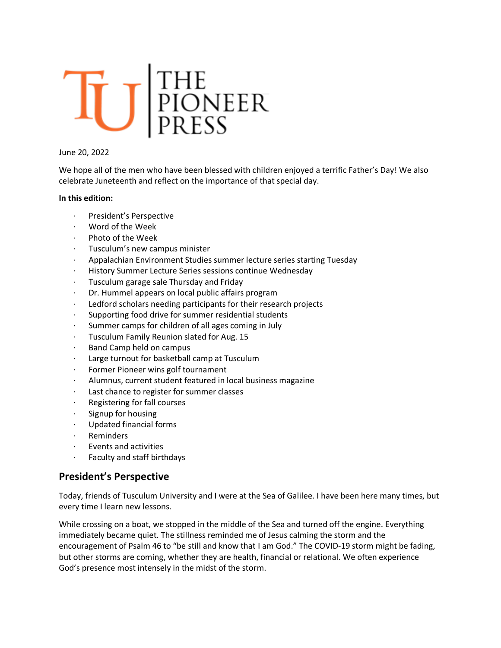# TU PIONEER

#### June 20, 2022

We hope all of the men who have been blessed with children enjoyed a terrific Father's Day! We also celebrate Juneteenth and reflect on the importance of that special day.

#### **In this edition:**

- President's Perspective
- · Word of the Week
- Photo of the Week
- · Tusculum's new campus minister
- · Appalachian Environment Studies summer lecture series starting Tuesday
- · History Summer Lecture Series sessions continue Wednesday
- · Tusculum garage sale Thursday and Friday
- Dr. Hummel appears on local public affairs program
- · Ledford scholars needing participants for their research projects
- Supporting food drive for summer residential students
- · Summer camps for children of all ages coming in July
- · Tusculum Family Reunion slated for Aug. 15
- · Band Camp held on campus
- Large turnout for basketball camp at Tusculum
- Former Pioneer wins golf tournament
- Alumnus, current student featured in local business magazine
- Last chance to register for summer classes
- · Registering for fall courses
- Signup for housing
- · Updated financial forms
- **Reminders**
- · Events and activities
- · Faculty and staff birthdays

#### **President's Perspective**

Today, friends of Tusculum University and I were at the Sea of Galilee. I have been here many times, but every time I learn new lessons.

While crossing on a boat, we stopped in the middle of the Sea and turned off the engine. Everything immediately became quiet. The stillness reminded me of Jesus calming the storm and the encouragement of Psalm 46 to "be still and know that I am God." The COVID-19 storm might be fading, but other storms are coming, whether they are health, financial or relational. We often experience God's presence most intensely in the midst of the storm.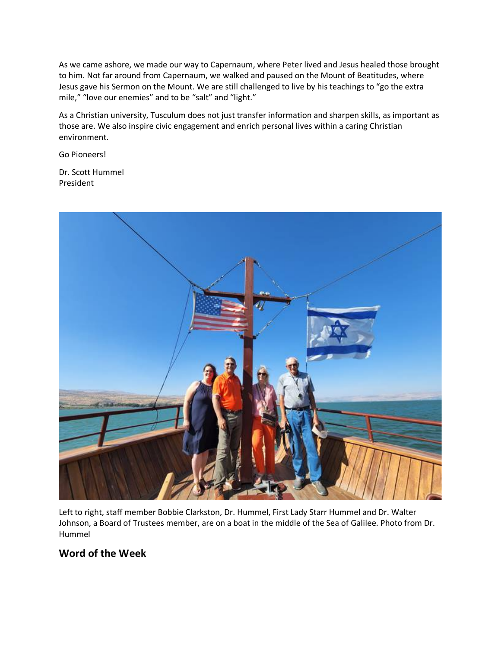As we came ashore, we made our way to Capernaum, where Peter lived and Jesus healed those brought to him. Not far around from Capernaum, we walked and paused on the Mount of Beatitudes, where Jesus gave his Sermon on the Mount. We are still challenged to live by his teachings to "go the extra mile," "love our enemies" and to be "salt" and "light."

As a Christian university, Tusculum does not just transfer information and sharpen skills, as important as those are. We also inspire civic engagement and enrich personal lives within a caring Christian environment.

Go Pioneers!

Dr. Scott Hummel President



Left to right, staff member Bobbie Clarkston, Dr. Hummel, First Lady Starr Hummel and Dr. Walter Johnson, a Board of Trustees member, are on a boat in the middle of the Sea of Galilee. Photo from Dr. Hummel

#### **Word of the Week**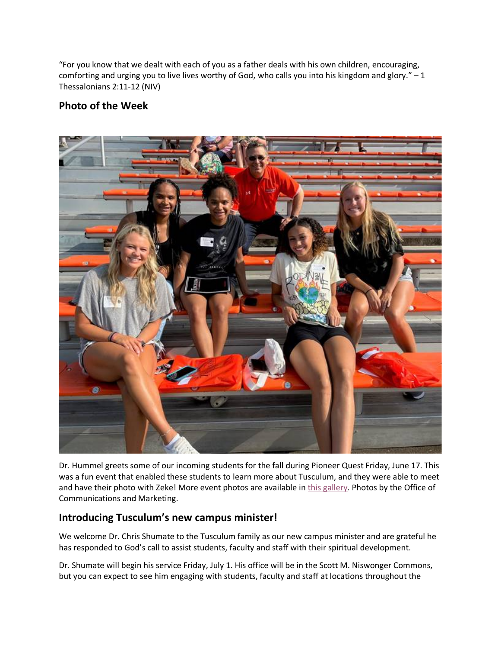"For you know that we dealt with each of you as a father deals with his own children, encouraging, comforting and urging you to live lives worthy of God, who calls you into his kingdom and glory." - 1 Thessalonians 2:11-12 (NIV)

#### **Photo of the Week**



Dr. Hummel greets some of our incoming students for the fall during Pioneer Quest Friday, June 17. This was a fun event that enabled these students to learn more about Tusculum, and they were able to meet and have their photo with Zeke! More event photos are available in this gallery. Photos by the Office of Communications and Marketing.

#### **Introducing Tusculum's new campus minister!**

We welcome Dr. Chris Shumate to the Tusculum family as our new campus minister and are grateful he has responded to God's call to assist students, faculty and staff with their spiritual development.

Dr. Shumate will begin his service Friday, July 1. His office will be in the Scott M. Niswonger Commons, but you can expect to see him engaging with students, faculty and staff at locations throughout the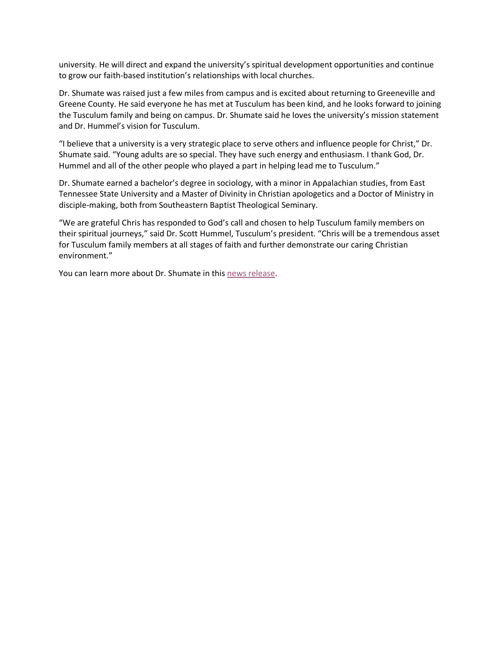university. He will direct and expand the university's spiritual development opportunities and continue to grow our faith-based institution's relationships with local churches.

Dr. Shumate was raised just a few miles from campus and is excited about returning to Greeneville and Greene County. He said everyone he has met at Tusculum has been kind, and he looks forward to joining the Tusculum family and being on campus. Dr. Shumate said he loves the university's mission statement and Dr. Hummel's vision for Tusculum.

"I believe that a university is a very strategic place to serve others and influence people for Christ," Dr. Shumate said. "Young adults are so special. They have such energy and enthusiasm. I thank God, Dr. Hummel and all of the other people who played a part in helping lead me to Tusculum."

Dr. Shumate earned a bachelor's degree in sociology, with a minor in Appalachian studies, from East Tennessee State University and a Master of Divinity in Christian apologetics and a Doctor of Ministry in disciple-making, both from Southeastern Baptist Theological Seminary.

"We are grateful Chris has responded to God's call and chosen to help Tusculum family members on their spiritual journeys," said Dr. Scott Hummel, Tusculum's president. "Chris will be a tremendous asset for Tusculum family members at all stages of faith and further demonstrate our caring Christian environment."

You can learn more about Dr. Shumate in this news release.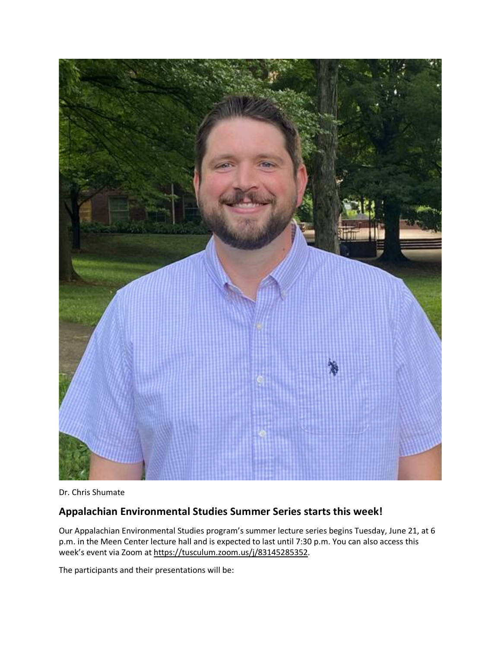

Dr. Chris Shumate

#### **Appalachian Environmental Studies Summer Series starts this week!**

Our Appalachian Environmental Studies program's summer lecture series begins Tuesday, June 21, at 6 p.m. in the Meen Center lecture hall and is expected to last until 7:30 p.m. You can also access this week's event via Zoom at https://tusculum.zoom.us/j/83145285352.

The participants and their presentations will be: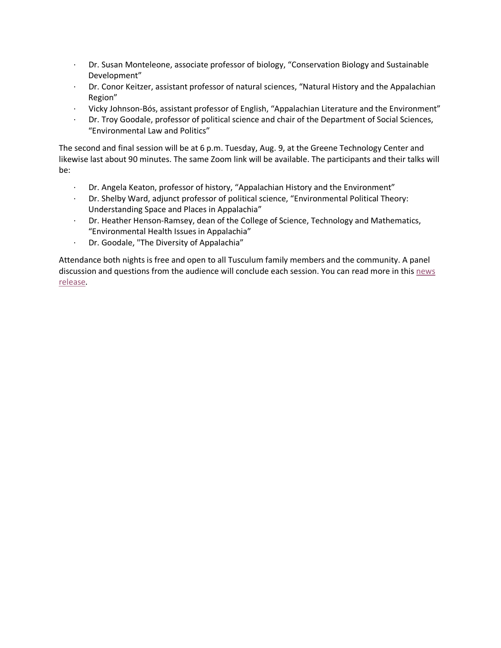- · Dr. Susan Monteleone, associate professor of biology, "Conservation Biology and Sustainable Development"
- · Dr. Conor Keitzer, assistant professor of natural sciences, "Natural History and the Appalachian Region"
- · Vicky Johnson-Bós, assistant professor of English, "Appalachian Literature and the Environment"
- · Dr. Troy Goodale, professor of political science and chair of the Department of Social Sciences, "Environmental Law and Politics"

The second and final session will be at 6 p.m. Tuesday, Aug. 9, at the Greene Technology Center and likewise last about 90 minutes. The same Zoom link will be available. The participants and their talks will be:

- · Dr. Angela Keaton, professor of history, "Appalachian History and the Environment"
- · Dr. Shelby Ward, adjunct professor of political science, "Environmental Political Theory: Understanding Space and Places in Appalachia"
- · Dr. Heather Henson-Ramsey, dean of the College of Science, Technology and Mathematics, "Environmental Health Issues in Appalachia"
- · Dr. Goodale, "The Diversity of Appalachia"

Attendance both nights is free and open to all Tusculum family members and the community. A panel discussion and questions from the audience will conclude each session. You can read more in this news release.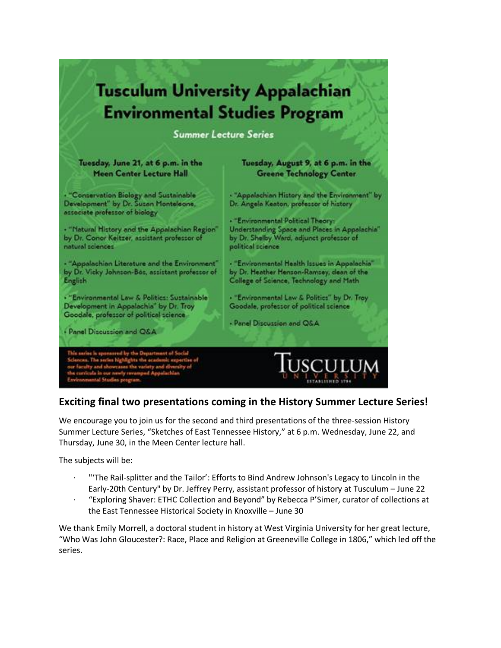

#### **Exciting final two presentations coming in the History Summer Lecture Series!**

We encourage you to join us for the second and third presentations of the three-session History Summer Lecture Series, "Sketches of East Tennessee History," at 6 p.m. Wednesday, June 22, and Thursday, June 30, in the Meen Center lecture hall.

The subjects will be:

- · "'The Rail-splitter and the Tailor': Efforts to Bind Andrew Johnson's Legacy to Lincoln in the Early-20th Century" by Dr. Jeffrey Perry, assistant professor of history at Tusculum – June 22
- · "Exploring Shaver: ETHC Collection and Beyond" by Rebecca P'Simer, curator of collections at the East Tennessee Historical Society in Knoxville – June 30

We thank Emily Morrell, a doctoral student in history at West Virginia University for her great lecture, "Who Was John Gloucester?: Race, Place and Religion at Greeneville College in 1806," which led off the series.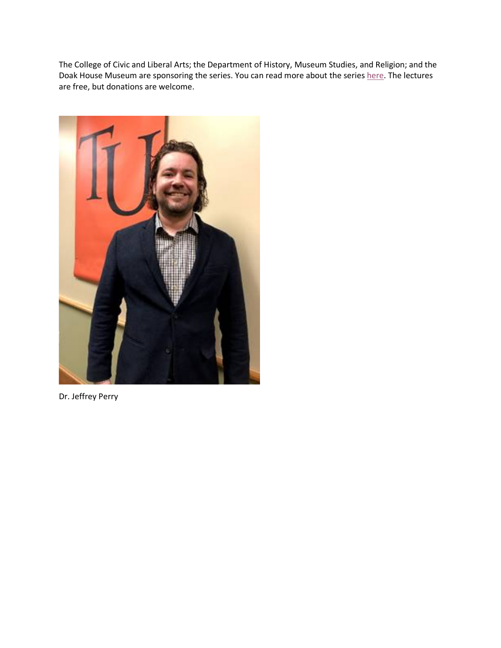The College of Civic and Liberal Arts; the Department of History, Museum Studies, and Religion; and the Doak House Museum are sponsoring the series. You can read more about the series here. The lectures are free, but donations are welcome.



Dr. Jeffrey Perry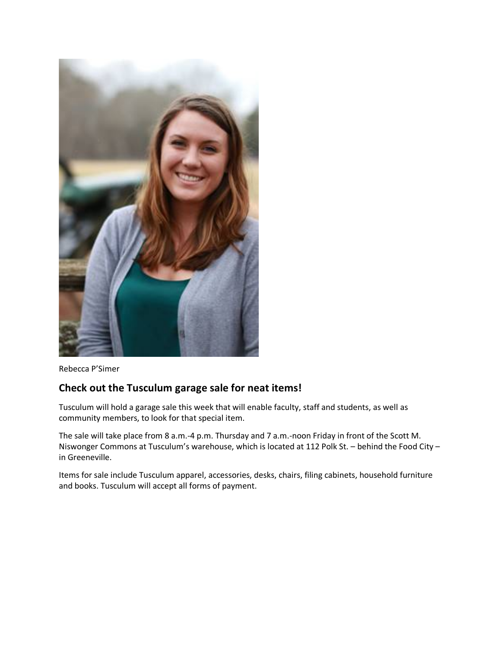

Rebecca P'Simer

#### **Check out the Tusculum garage sale for neat items!**

Tusculum will hold a garage sale this week that will enable faculty, staff and students, as well as community members, to look for that special item.

The sale will take place from 8 a.m.-4 p.m. Thursday and 7 a.m.-noon Friday in front of the Scott M. Niswonger Commons at Tusculum's warehouse, which is located at 112 Polk St. – behind the Food City – in Greeneville.

Items for sale include Tusculum apparel, accessories, desks, chairs, filing cabinets, household furniture and books. Tusculum will accept all forms of payment.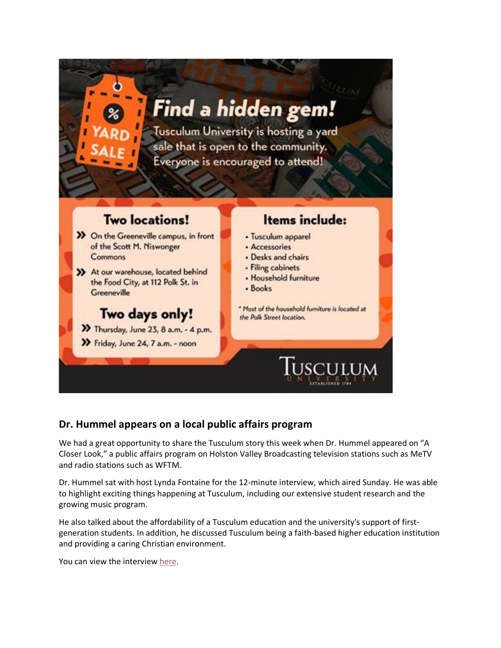

#### **Dr. Hummel appears on a local public affairs program**

We had a great opportunity to share the Tusculum story this week when Dr. Hummel appeared on "A Closer Look," a public affairs program on Holston Valley Broadcasting television stations such as MeTV and radio stations such as WFTM.

Dr. Hummel sat with host Lynda Fontaine for the 12-minute interview, which aired Sunday. He was able to highlight exciting things happening at Tusculum, including our extensive student research and the growing music program.

He also talked about the affordability of a Tusculum education and the university's support of firstgeneration students. In addition, he discussed Tusculum being a faith-based higher education institution and providing a caring Christian environment.

You can view the interview here.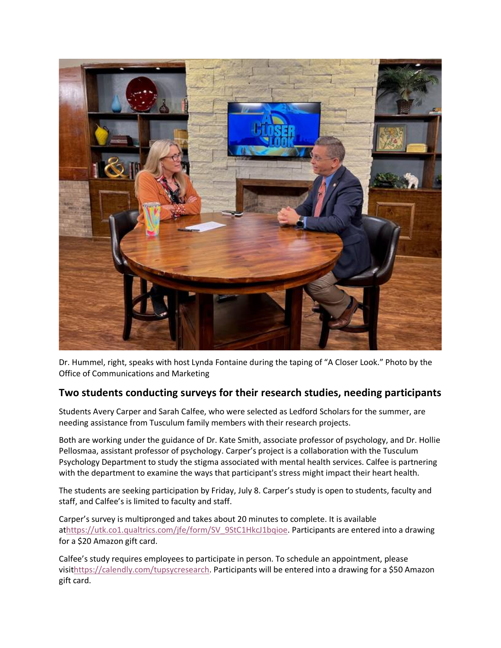

Dr. Hummel, right, speaks with host Lynda Fontaine during the taping of "A Closer Look." Photo by the Office of Communications and Marketing

#### **Two students conducting surveys for their research studies, needing participants**

Students Avery Carper and Sarah Calfee, who were selected as Ledford Scholars for the summer, are needing assistance from Tusculum family members with their research projects.

Both are working under the guidance of Dr. Kate Smith, associate professor of psychology, and Dr. Hollie Pellosmaa, assistant professor of psychology. Carper's project is a collaboration with the Tusculum Psychology Department to study the stigma associated with mental health services. Calfee is partnering with the department to examine the ways that participant's stress might impact their heart health.

The students are seeking participation by Friday, July 8. Carper's study is open to students, faculty and staff, and Calfee's is limited to faculty and staff.

Carper's survey is multipronged and takes about 20 minutes to complete. It is available athttps://utk.co1.qualtrics.com/jfe/form/SV\_9StC1HkcJ1bqioe. Participants are entered into a drawing for a \$20 Amazon gift card.

Calfee's study requires employees to participate in person. To schedule an appointment, please visithttps://calendly.com/tupsycresearch. Participants will be entered into a drawing for a \$50 Amazon gift card.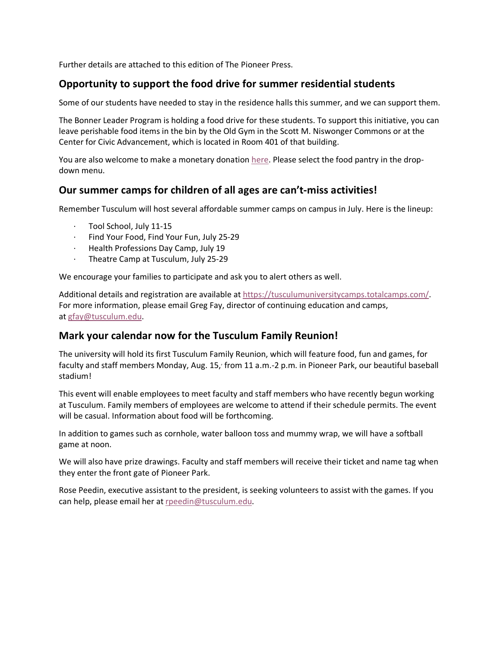Further details are attached to this edition of The Pioneer Press.

#### **Opportunity to support the food drive for summer residential students**

Some of our students have needed to stay in the residence halls this summer, and we can support them.

The Bonner Leader Program is holding a food drive for these students. To support this initiative, you can leave perishable food items in the bin by the Old Gym in the Scott M. Niswonger Commons or at the Center for Civic Advancement, which is located in Room 401 of that building.

You are also welcome to make a monetary donation here. Please select the food pantry in the dropdown menu.

#### **Our summer camps for children of all ages are can't-miss activities!**

Remember Tusculum will host several affordable summer camps on campus in July. Here is the lineup:

- · Tool School, July 11-15
- · Find Your Food, Find Your Fun, July 25-29
- · Health Professions Day Camp, July 19
- · Theatre Camp at Tusculum, July 25-29

We encourage your families to participate and ask you to alert others as well.

Additional details and registration are available at https://tusculumuniversitycamps.totalcamps.com/. For more information, please email Greg Fay, director of continuing education and camps, at gfay@tusculum.edu.

#### **Mark your calendar now for the Tusculum Family Reunion!**

The university will hold its first Tusculum Family Reunion, which will feature food, fun and games, for faculty and staff members Monday, Aug. 15, from 11 a.m.-2 p.m. in Pioneer Park, our beautiful baseball stadium!

This event will enable employees to meet faculty and staff members who have recently begun working at Tusculum. Family members of employees are welcome to attend if their schedule permits. The event will be casual. Information about food will be forthcoming.

In addition to games such as cornhole, water balloon toss and mummy wrap, we will have a softball game at noon.

We will also have prize drawings. Faculty and staff members will receive their ticket and name tag when they enter the front gate of Pioneer Park.

Rose Peedin, executive assistant to the president, is seeking volunteers to assist with the games. If you can help, please email her at rpeedin@tusculum.edu.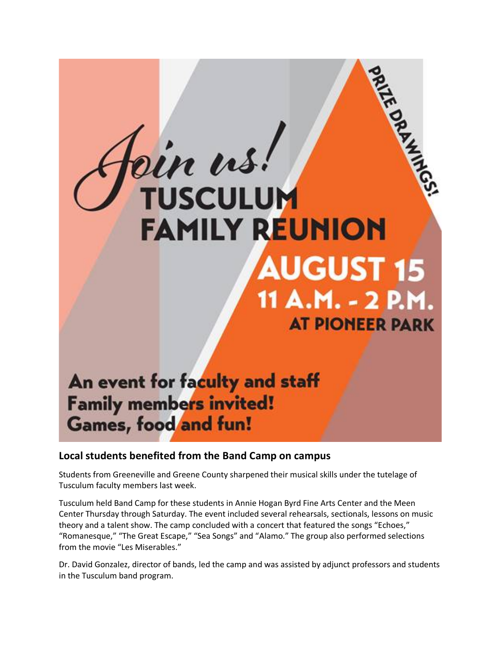## din us! **TUSCULUM FAMILY REUNION AUGUST 15** 11 A.M. - 2 P.M. **AT PIONEER PARK**

### An event for faculty and staff **Family members invited! Games, food and fun!**

#### **Local students benefited from the Band Camp on campus**

Students from Greeneville and Greene County sharpened their musical skills under the tutelage of Tusculum faculty members last week.

Tusculum held Band Camp for these students in Annie Hogan Byrd Fine Arts Center and the Meen Center Thursday through Saturday. The event included several rehearsals, sectionals, lessons on music theory and a talent show. The camp concluded with a concert that featured the songs "Echoes," "Romanesque," "The Great Escape," "Sea Songs" and "Alamo." The group also performed selections from the movie "Les Miserables."

Dr. David Gonzalez, director of bands, led the camp and was assisted by adjunct professors and students in the Tusculum band program.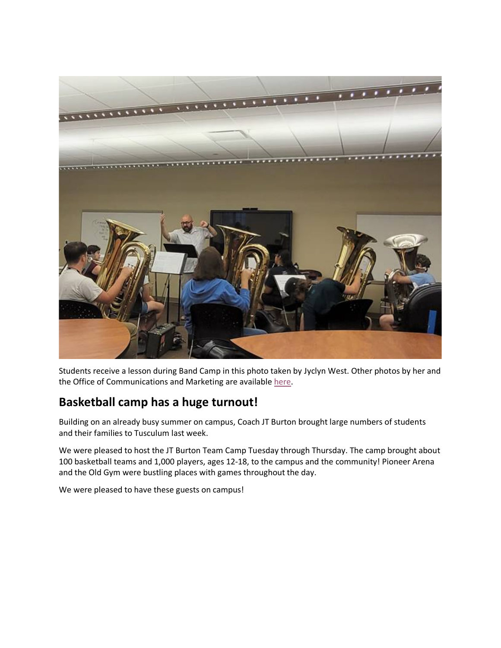

Students receive a lesson during Band Camp in this photo taken by Jyclyn West. Other photos by her and the Office of Communications and Marketing are available here.

#### **Basketball camp has a huge turnout!**

Building on an already busy summer on campus, Coach JT Burton brought large numbers of students and their families to Tusculum last week.

We were pleased to host the JT Burton Team Camp Tuesday through Thursday. The camp brought about 100 basketball teams and 1,000 players, ages 12-18, to the campus and the community! Pioneer Arena and the Old Gym were bustling places with games throughout the day.

We were pleased to have these guests on campus!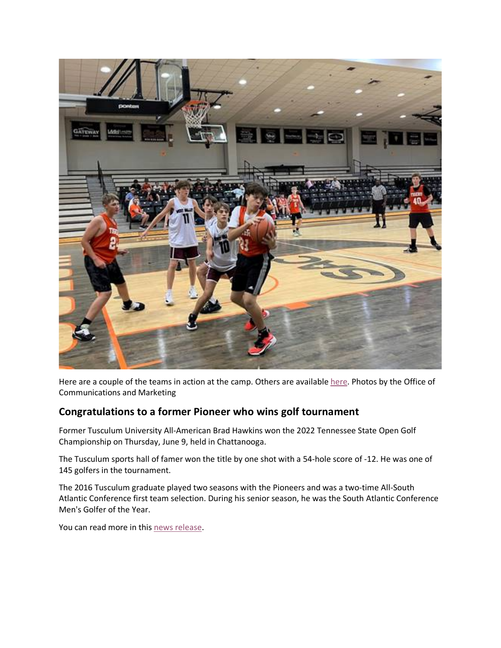

Here are a couple of the teams in action at the camp. Others are available here. Photos by the Office of Communications and Marketing

#### **Congratulations to a former Pioneer who wins golf tournament**

Former Tusculum University All-American Brad Hawkins won the 2022 Tennessee State Open Golf Championship on Thursday, June 9, held in Chattanooga.

The Tusculum sports hall of famer won the title by one shot with a 54-hole score of -12. He was one of 145 golfers in the tournament.

The 2016 Tusculum graduate played two seasons with the Pioneers and was a two-time All-South Atlantic Conference first team selection. During his senior season, he was the South Atlantic Conference Men's Golfer of the Year.

You can read more in this news release.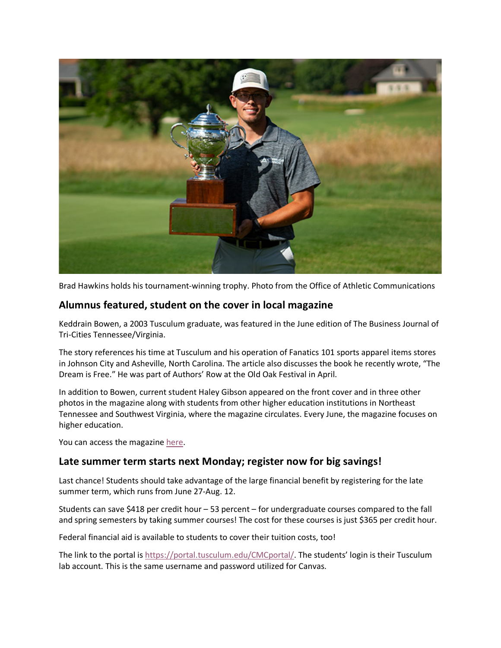

Brad Hawkins holds his tournament-winning trophy. Photo from the Office of Athletic Communications

#### **Alumnus featured, student on the cover in local magazine**

Keddrain Bowen, a 2003 Tusculum graduate, was featured in the June edition of The Business Journal of Tri-Cities Tennessee/Virginia.

The story references his time at Tusculum and his operation of Fanatics 101 sports apparel items stores in Johnson City and Asheville, North Carolina. The article also discusses the book he recently wrote, "The Dream is Free." He was part of Authors' Row at the Old Oak Festival in April.

In addition to Bowen, current student Haley Gibson appeared on the front cover and in three other photos in the magazine along with students from other higher education institutions in Northeast Tennessee and Southwest Virginia, where the magazine circulates. Every June, the magazine focuses on higher education.

You can access the magazine here.

#### **Late summer term starts next Monday; register now for big savings!**

Last chance! Students should take advantage of the large financial benefit by registering for the late summer term, which runs from June 27-Aug. 12.

Students can save \$418 per credit hour – 53 percent – for undergraduate courses compared to the fall and spring semesters by taking summer courses! The cost for these courses is just \$365 per credit hour.

Federal financial aid is available to students to cover their tuition costs, too!

The link to the portal is https://portal.tusculum.edu/CMCportal/. The students' login is their Tusculum lab account. This is the same username and password utilized for Canvas.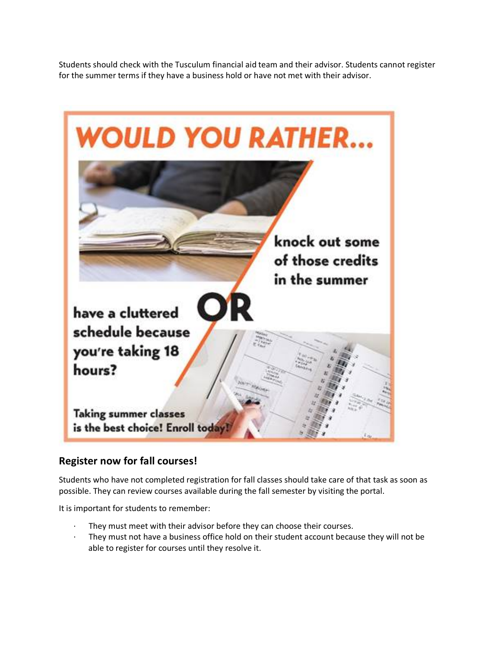Students should check with the Tusculum financial aid team and their advisor. Students cannot register for the summer terms if they have a business hold or have not met with their advisor.



#### **Register now for fall courses!**

Students who have not completed registration for fall classes should take care of that task as soon as possible. They can review courses available during the fall semester by visiting the portal.

It is important for students to remember:

- They must meet with their advisor before they can choose their courses.
- They must not have a business office hold on their student account because they will not be able to register for courses until they resolve it.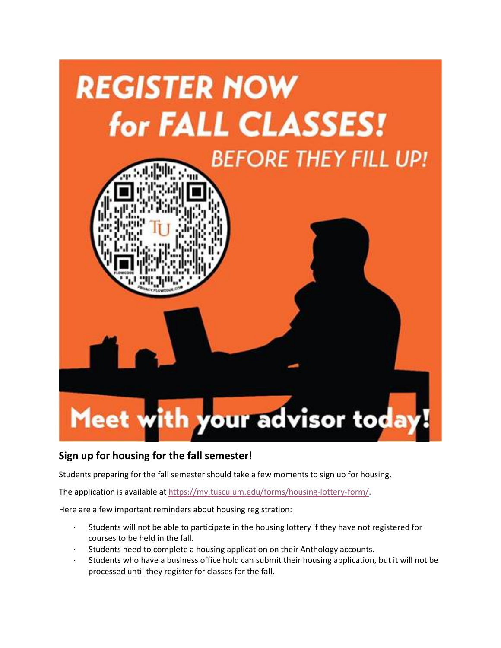

#### **Sign up for housing for the fall semester!**

Students preparing for the fall semester should take a few moments to sign up for housing.

The application is available at https://my.tusculum.edu/forms/housing-lottery-form/.

Here are a few important reminders about housing registration:

- · Students will not be able to participate in the housing lottery if they have not registered for courses to be held in the fall.
- Students need to complete a housing application on their Anthology accounts.
- Students who have a business office hold can submit their housing application, but it will not be processed until they register for classes for the fall.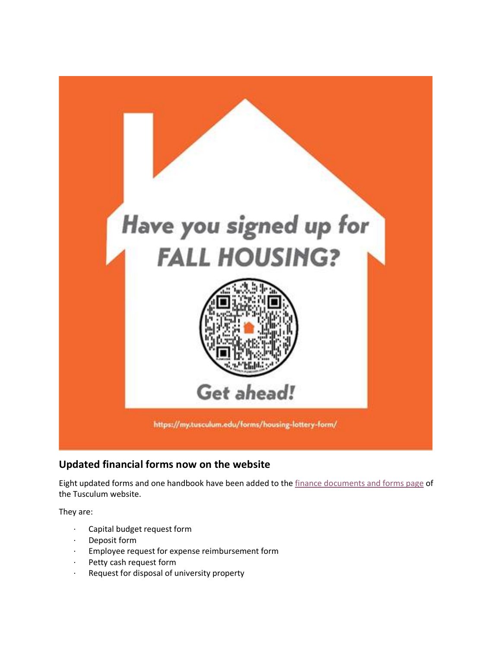

#### **Updated financial forms now on the website**

Eight updated forms and one handbook have been added to the finance documents and forms page of the Tusculum website.

They are:

- · Capital budget request form
- · Deposit form
- · Employee request for expense reimbursement form
- · Petty cash request form
- · Request for disposal of university property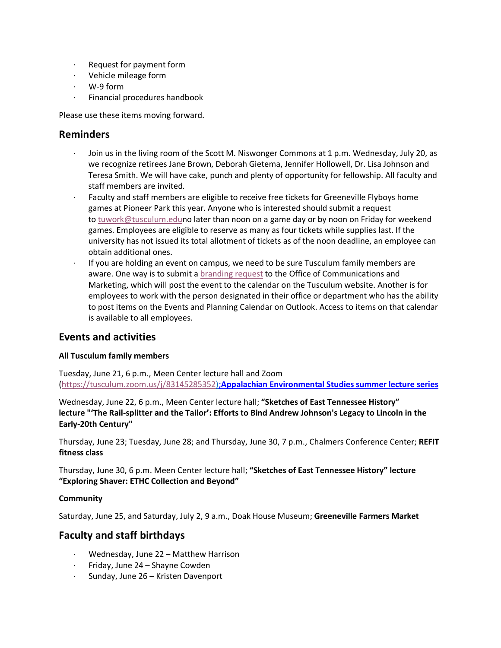- · Request for payment form
- · Vehicle mileage form
- · W-9 form
- Financial procedures handbook

Please use these items moving forward.

#### **Reminders**

- Join us in the living room of the Scott M. Niswonger Commons at 1 p.m. Wednesday, July 20, as we recognize retirees Jane Brown, Deborah Gietema, Jennifer Hollowell, Dr. Lisa Johnson and Teresa Smith. We will have cake, punch and plenty of opportunity for fellowship. All faculty and staff members are invited.
- · Faculty and staff members are eligible to receive free tickets for Greeneville Flyboys home games at Pioneer Park this year. Anyone who is interested should submit a request to tuwork@tusculum.eduno later than noon on a game day or by noon on Friday for weekend games. Employees are eligible to reserve as many as four tickets while supplies last. If the university has not issued its total allotment of tickets as of the noon deadline, an employee can obtain additional ones.
- If you are holding an event on campus, we need to be sure Tusculum family members are aware. One way is to submit a branding request to the Office of Communications and Marketing, which will post the event to the calendar on the Tusculum website. Another is for employees to work with the person designated in their office or department who has the ability to post items on the Events and Planning Calendar on Outlook. Access to items on that calendar is available to all employees.

#### **Events and activities**

#### **All Tusculum family members**

Tuesday, June 21, 6 p.m., Meen Center lecture hall and Zoom (https://tusculum.zoom.us/j/83145285352);**Appalachian Environmental Studies summer lecture series**

Wednesday, June 22, 6 p.m., Meen Center lecture hall; **"Sketches of East Tennessee History" lecture "'The Rail-splitter and the Tailor': Efforts to Bind Andrew Johnson's Legacy to Lincoln in the Early-20th Century"**

Thursday, June 23; Tuesday, June 28; and Thursday, June 30, 7 p.m., Chalmers Conference Center; **REFIT fitness class**

Thursday, June 30, 6 p.m. Meen Center lecture hall; **"Sketches of East Tennessee History" lecture "Exploring Shaver: ETHC Collection and Beyond"**

#### **Community**

Saturday, June 25, and Saturday, July 2, 9 a.m., Doak House Museum; **Greeneville Farmers Market**

#### **Faculty and staff birthdays**

- · Wednesday, June 22 Matthew Harrison
- · Friday, June 24 Shayne Cowden
- · Sunday, June 26 Kristen Davenport